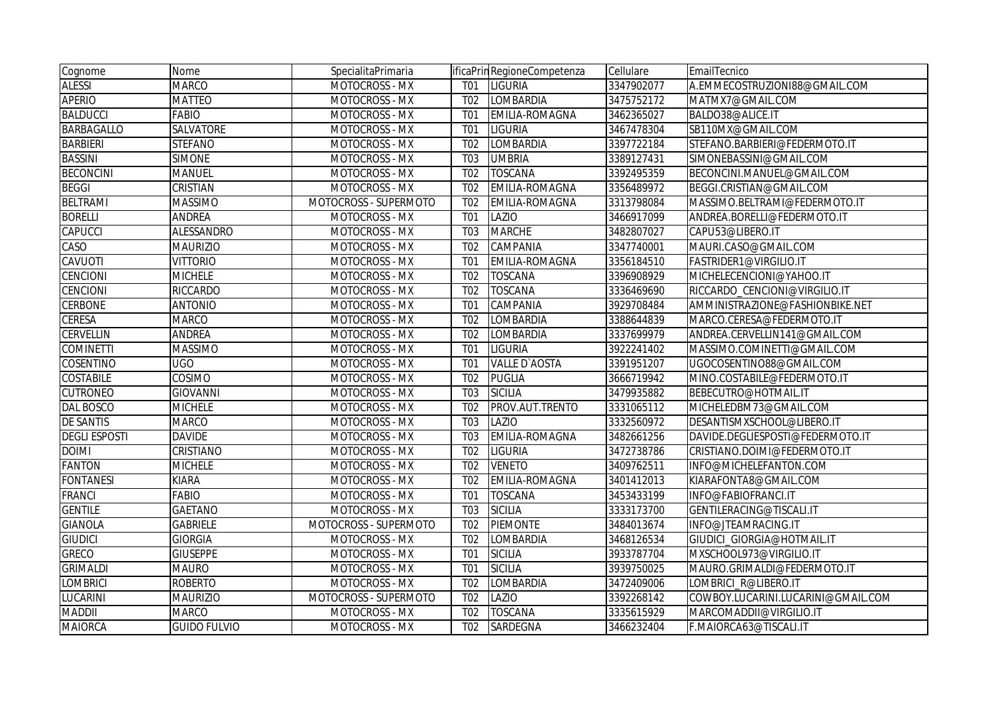| Cognome              | Nome                | SpecialitaPrimaria    |                  | ificaPrin RegioneCompetenza | Cellulare  | EmailTecnico                       |
|----------------------|---------------------|-----------------------|------------------|-----------------------------|------------|------------------------------------|
| <b>ALESSI</b>        | <b>MARCO</b>        | MOTOCROSS - MX        | T <sub>0</sub> 1 | LIGURIA                     | 3347902077 | A.EMMECOSTRUZIONI88@GMAIL.COM      |
| <b>APERIO</b>        | <b>MATTEO</b>       | <b>MOTOCROSS - MX</b> | T <sub>02</sub>  | LOMBARDIA                   | 3475752172 | MATMX7@GMAIL.COM                   |
| <b>BALDUCCI</b>      | <b>FABIO</b>        | MOTOCROSS - MX        | T <sub>0</sub> 1 | EMILIA-ROMAGNA              | 3462365027 | BALDO38@ALICE.IT                   |
| <b>BARBAGALLO</b>    | SALVATORE           | MOTOCROSS - MX        | T <sub>01</sub>  | <b>LIGURIA</b>              | 3467478304 | SB110MX@GMAIL.COM                  |
| <b>BARBIERI</b>      | <b>STEFANO</b>      | MOTOCROSS - MX        | T <sub>02</sub>  | LOMBARDIA                   | 3397722184 | STEFANO.BARBIERI@FEDERMOTO.IT      |
| <b>BASSINI</b>       | <b>SIMONE</b>       | MOTOCROSS - MX        | <b>T03</b>       | <b>UMBRIA</b>               | 3389127431 | SIMONEBASSINI@GMAIL.COM            |
| <b>BECONCINI</b>     | <b>MANUEL</b>       | MOTOCROSS - MX        | T <sub>02</sub>  | <b>TOSCANA</b>              | 3392495359 | BECONCINI.MANUEL@GMAIL.COM         |
| <b>BEGGI</b>         | <b>CRISTIAN</b>     | MOTOCROSS - MX        | T <sub>02</sub>  | EMILIA-ROMAGNA              | 3356489972 | BEGGI.CRISTIAN@GMAIL.COM           |
| <b>BELTRAMI</b>      | <b>MASSIMO</b>      | MOTOCROSS - SUPERMOTO | T <sub>02</sub>  | EMILIA-ROMAGNA              | 3313798084 | MASSIMO.BELTRAMI@FEDERMOTO.IT      |
| <b>BORELLI</b>       | <b>ANDREA</b>       | MOTOCROSS - MX        | T <sub>01</sub>  | LAZIO                       | 3466917099 | ANDREA.BORELLI@FEDERMOTO.IT        |
| <b>CAPUCCI</b>       | <b>ALESSANDRO</b>   | MOTOCROSS - MX        | T <sub>03</sub>  | <b>MARCHE</b>               | 3482807027 | CAPU53@LIBERO.IT                   |
| CASO                 | <b>MAURIZIO</b>     | MOTOCROSS - MX        | T <sub>02</sub>  | CAMPANIA                    | 3347740001 | MAURI.CASO@GMAIL.COM               |
| CAVUOTI              | <b>VITTORIO</b>     | <b>MOTOCROSS - MX</b> | T <sub>01</sub>  | EMILIA-ROMAGNA              | 3356184510 | FASTRIDER1@VIRGILIO.IT             |
| <b>CENCIONI</b>      | <b>MICHELE</b>      | <b>MOTOCROSS - MX</b> | T <sub>02</sub>  | <b>TOSCANA</b>              | 3396908929 | MICHELECENCIONI@YAHOO.IT           |
| <b>CENCIONI</b>      | <b>RICCARDO</b>     | MOTOCROSS - MX        | T <sub>02</sub>  | <b>TOSCANA</b>              | 3336469690 | RICCARDO_CENCIONI@VIRGILIO.IT      |
| <b>CERBONE</b>       | <b>ANTONIO</b>      | MOTOCROSS - MX        | T <sub>0</sub> 1 | CAMPANIA                    | 3929708484 | AMMINISTRAZIONE@FASHIONBIKE.NET    |
| <b>CERESA</b>        | <b>MARCO</b>        | MOTOCROSS - MX        | T <sub>02</sub>  | LOMBARDIA                   | 3388644839 | MARCO.CERESA@FEDERMOTO.IT          |
| <b>CERVELLIN</b>     | <b>ANDREA</b>       | MOTOCROSS - MX        | T <sub>02</sub>  | LOMBARDIA                   | 3337699979 | ANDREA.CERVELLIN141@GMAIL.COM      |
| <b>COMINETTI</b>     | <b>MASSIMO</b>      | MOTOCROSS - MX        | T <sub>01</sub>  | LIGURIA                     | 3922241402 | MASSIMO.COMINETTI@GMAIL.COM        |
| <b>COSENTINO</b>     | <b>UGO</b>          | MOTOCROSS - MX        | T <sub>0</sub> 1 | <b>VALLE D'AOSTA</b>        | 3391951207 | UGOCOSENTINO88@GMAIL.COM           |
| <b>COSTABILE</b>     | <b>COSIMO</b>       | MOTOCROSS - MX        | T <sub>02</sub>  | <b>PUGLIA</b>               | 3666719942 | MINO.COSTABILE@FEDERMOTO.IT        |
| <b>CUTRONEO</b>      | <b>GIOVANNI</b>     | MOTOCROSS - MX        | T <sub>0</sub> 3 | <b>SICILIA</b>              | 3479935882 | BEBECUTRO@HOTMAIL.IT               |
| <b>DAL BOSCO</b>     | <b>MICHELE</b>      | MOTOCROSS - MX        | T <sub>02</sub>  | PROV.AUT.TRENTO             | 3331065112 | MICHELEDBM73@GMAIL.COM             |
| <b>DE SANTIS</b>     | <b>MARCO</b>        | <b>MOTOCROSS - MX</b> | T <sub>03</sub>  | LAZIO                       | 3332560972 | DESANTISMXSCHOOL@LIBERO.IT         |
| <b>DEGLI ESPOSTI</b> | <b>DAVIDE</b>       | MOTOCROSS - MX        | T <sub>03</sub>  | EMILIA-ROMAGNA              | 3482661256 | DAVIDE.DEGLIESPOSTI@FEDERMOTO.IT   |
| <b>DOIMI</b>         | <b>CRISTIANO</b>    | <b>MOTOCROSS - MX</b> | T <sub>02</sub>  | <b>LIGURIA</b>              | 3472738786 | CRISTIANO.DOIMI@FEDERMOTO.IT       |
| <b>FANTON</b>        | <b>MICHELE</b>      | <b>MOTOCROSS - MX</b> | T <sub>02</sub>  | <b>VENETO</b>               | 3409762511 | INFO@MICHELEFANTON.COM             |
| <b>FONTANESI</b>     | <b>KIARA</b>        | MOTOCROSS - MX        | T <sub>02</sub>  | EMILIA-ROMAGNA              | 3401412013 | KIARAFONTA8@GMAIL.COM              |
| FRANCI               | <b>FABIO</b>        | MOTOCROSS - MX        | T <sub>01</sub>  | <b>TOSCANA</b>              | 3453433199 | INFO@FABIOFRANCI.IT                |
| <b>GENTILE</b>       | GAETANO             | MOTOCROSS - MX        | T <sub>03</sub>  | <b>SICILIA</b>              | 3333173700 | GENTILERACING@TISCALI.IT           |
| <b>GIANOLA</b>       | <b>GABRIELE</b>     | MOTOCROSS - SUPERMOTO | T <sub>02</sub>  | <b>PIEMONTE</b>             | 3484013674 | INFO@JTEAMRACING.IT                |
| <b>GIUDICI</b>       | <b>GIORGIA</b>      | <b>MOTOCROSS - MX</b> | T <sub>02</sub>  | LOMBARDIA                   | 3468126534 | GIUDICI GIORGIA@HOTMAIL.IT         |
| <b>GRECO</b>         | <b>GIUSEPPE</b>     | MOTOCROSS - MX        | T <sub>01</sub>  | <b>SICILIA</b>              | 3933787704 | MXSCHOOL973@VIRGILIO.IT            |
| <b>GRIMALDI</b>      | <b>MAURO</b>        | MOTOCROSS - MX        | T <sub>0</sub> 1 | <b>SICILIA</b>              | 3939750025 | MAURO.GRIMALDI@FEDERMOTO.IT        |
| <b>LOMBRICI</b>      | <b>ROBERTO</b>      | MOTOCROSS - MX        | T <sub>02</sub>  | LOMBARDIA                   | 3472409006 | LOMBRICI_R@LIBERO.IT               |
| LUCARINI             | <b>MAURIZIO</b>     | MOTOCROSS - SUPERMOTO | T <sub>02</sub>  | LAZIO                       | 3392268142 | COWBOY.LUCARINI.LUCARINI@GMAIL.COM |
| <b>MADDII</b>        | <b>MARCO</b>        | MOTOCROSS - MX        | T <sub>02</sub>  | <b>TOSCANA</b>              | 3335615929 | MARCOMADDII@VIRGILIO.IT            |
| <b>MAIORCA</b>       | <b>GUIDO FULVIO</b> | <b>MOTOCROSS - MX</b> | T <sub>02</sub>  | SARDEGNA                    | 3466232404 | F.MAIORCA63@TISCALI.IT             |